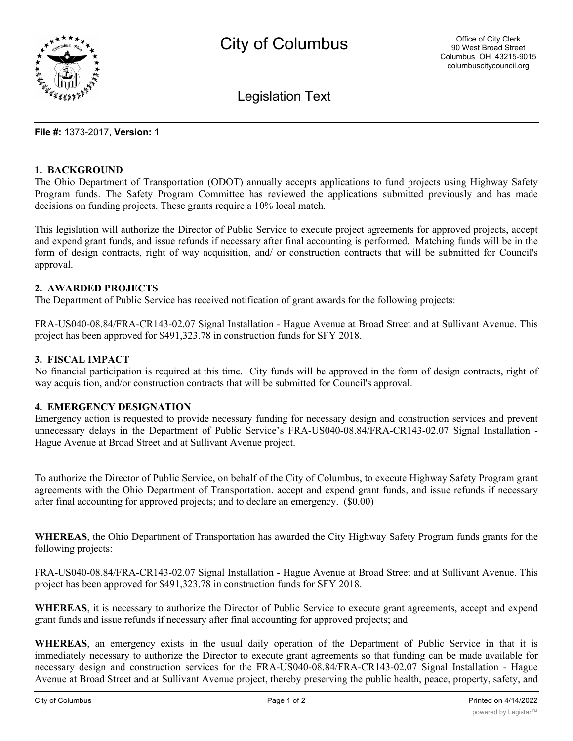

Legislation Text

## **File #:** 1373-2017, **Version:** 1

### **1. BACKGROUND**

The Ohio Department of Transportation (ODOT) annually accepts applications to fund projects using Highway Safety Program funds. The Safety Program Committee has reviewed the applications submitted previously and has made decisions on funding projects. These grants require a 10% local match.

This legislation will authorize the Director of Public Service to execute project agreements for approved projects, accept and expend grant funds, and issue refunds if necessary after final accounting is performed. Matching funds will be in the form of design contracts, right of way acquisition, and/ or construction contracts that will be submitted for Council's approval.

#### **2. AWARDED PROJECTS**

The Department of Public Service has received notification of grant awards for the following projects:

FRA-US040-08.84/FRA-CR143-02.07 Signal Installation - Hague Avenue at Broad Street and at Sullivant Avenue. This project has been approved for \$491,323.78 in construction funds for SFY 2018.

#### **3. FISCAL IMPACT**

No financial participation is required at this time. City funds will be approved in the form of design contracts, right of way acquisition, and/or construction contracts that will be submitted for Council's approval.

# **4. EMERGENCY DESIGNATION**

Emergency action is requested to provide necessary funding for necessary design and construction services and prevent unnecessary delays in the Department of Public Service's FRA-US040-08.84/FRA-CR143-02.07 Signal Installation - Hague Avenue at Broad Street and at Sullivant Avenue project.

To authorize the Director of Public Service, on behalf of the City of Columbus, to execute Highway Safety Program grant agreements with the Ohio Department of Transportation, accept and expend grant funds, and issue refunds if necessary after final accounting for approved projects; and to declare an emergency. (\$0.00)

**WHEREAS**, the Ohio Department of Transportation has awarded the City Highway Safety Program funds grants for the following projects:

FRA-US040-08.84/FRA-CR143-02.07 Signal Installation - Hague Avenue at Broad Street and at Sullivant Avenue. This project has been approved for \$491,323.78 in construction funds for SFY 2018.

**WHEREAS**, it is necessary to authorize the Director of Public Service to execute grant agreements, accept and expend grant funds and issue refunds if necessary after final accounting for approved projects; and

**WHEREAS**, an emergency exists in the usual daily operation of the Department of Public Service in that it is immediately necessary to authorize the Director to execute grant agreements so that funding can be made available for necessary design and construction services for the FRA-US040-08.84/FRA-CR143-02.07 Signal Installation - Hague Avenue at Broad Street and at Sullivant Avenue project, thereby preserving the public health, peace, property, safety, and